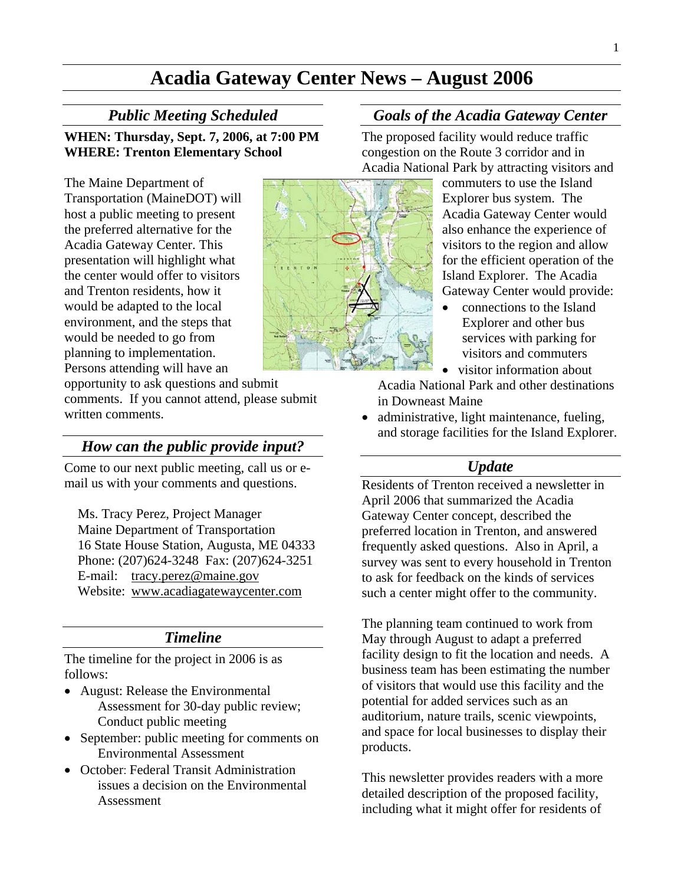# **Acadia Gateway Center News – August 2006**

### *Public Meeting Scheduled*

**WHEN: Thursday, Sept. 7, 2006, at 7:00 PM WHERE: Trenton Elementary School** 

The Maine Department of Transportation (MaineDOT) will host a public meeting to present the preferred alternative for the Acadia Gateway Center. This presentation will highlight what the center would offer to visitors and Trenton residents, how it would be adapted to the local environment, and the steps that would be needed to go from planning to implementation. Persons attending will have an

opportunity to ask questions and submit comments. If you cannot attend, please submit written comments.

## *How can the public provide input?*

Come to our next public meeting, call us or email us with your comments and questions.

Ms. Tracy Perez, Project Manager Maine Department of Transportation 16 State House Station, Augusta, ME 04333 Phone: (207)624-3248 Fax: (207)624-3251 E-mail: [tracy.perez@maine.gov](mailto:tracy.perez@maine.gov)  Website: [www.acadiagatewaycenter.com](http://www.acadiagatewaycenter.com/)

### *Timeline*

The timeline for the project in 2006 is as follows:

- August: Release the Environmental Assessment for 30-day public review; Conduct public meeting
- September: public meeting for comments on Environmental Assessment
- October: Federal Transit Administration issues a decision on the Environmental Assessment

## *Goals of the Acadia Gateway Center*

The proposed facility would reduce traffic congestion on the Route 3 corridor and in Acadia National Park by attracting visitors and

> commuters to use the Island Explorer bus system. The Acadia Gateway Center would also enhance the experience of visitors to the region and allow for the efficient operation of the Island Explorer. The Acadia Gateway Center would provide:

• connections to the Island Explorer and other bus services with parking for visitors and commuters

• visitor information about

Acadia National Park and other destinations in Downeast Maine

• administrative, light maintenance, fueling, and storage facilities for the Island Explorer.

### *Update*

Residents of Trenton received a newsletter in April 2006 that summarized the Acadia Gateway Center concept, described the preferred location in Trenton, and answered frequently asked questions. Also in April, a survey was sent to every household in Trenton to ask for feedback on the kinds of services such a center might offer to the community.

The planning team continued to work from May through August to adapt a preferred facility design to fit the location and needs. A business team has been estimating the number of visitors that would use this facility and the potential for added services such as an auditorium, nature trails, scenic viewpoints, and space for local businesses to display their products.

This newsletter provides readers with a more detailed description of the proposed facility, including what it might offer for residents of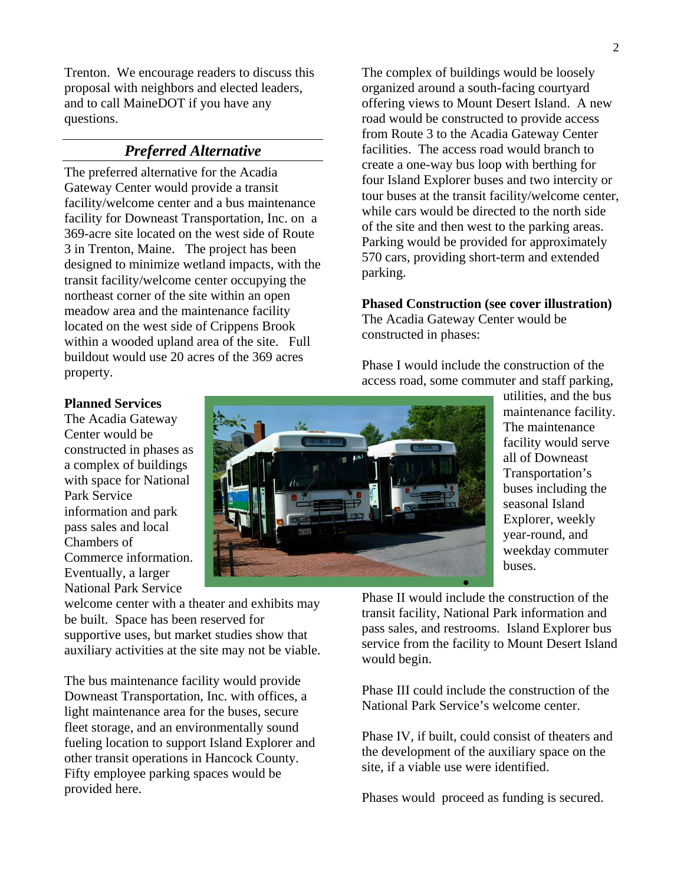Trenton. We encourage readers to discuss this proposal with neighbors and elected leaders, and to call MaineDOT if you have any questions.

## *Preferred Alternative*

The preferred alternative for the Acadia Gateway Center would provide a transit facility/welcome center and a bus maintenance facility for Downeast Transportation, Inc. on a 369-acre site located on the west side of Route 3 in Trenton, Maine. The project has been designed to minimize wetland impacts, with the transit facility/welcome center occupying the northeast corner of the site within an open meadow area and the maintenance facility located on the west side of Crippens Brook within a wooded upland area of the site. Full buildout would use 20 acres of the 369 acres property.

The complex of buildings would be loosely organized around a south-facing courtyard offering views to Mount Desert Island. A new road would be constructed to provide access from Route 3 to the Acadia Gateway Center facilities. The access road would branch to create a one-way bus loop with berthing for four Island Explorer buses and two intercity or tour buses at the transit facility/welcome center, while cars would be directed to the north side of the site and then west to the parking areas. Parking would be provided for approximately 570 cars, providing short-term and extended parking.

#### **Phased Construction (see cover illustration)**  The Acadia Gateway Center would be constructed in phases:

Phase I would include the construction of the access road, some commuter and staff parking,

#### **Planned Services**

The Acadia Gateway Center would be constructed in phases as a complex of buildings with space for National Park Service information and park pass sales and local Chambers of Commerce information. Eventually, a larger National Park Service

welcome center with a theater and exhibits may be built. Space has been reserved for supportive uses, but market studies show that auxiliary activities at the site may not be viable.

The bus maintenance facility would provide Downeast Transportation, Inc. with offices, a light maintenance area for the buses, secure fleet storage, and an environmentally sound fueling location to support Island Explorer and other transit operations in Hancock County. Fifty employee parking spaces would be provided here.



utilities, and the bus maintenance facility. The maintenance facility would serve all of Downeast Transportation's buses including the seasonal Island Explorer, weekly year-round, and weekday commuter buses.

Phase II would include the construction of the transit facility, National Park information and pass sales, and restrooms. Island Explorer bus service from the facility to Mount Desert Island would begin.

•

Phase III could include the construction of the National Park Service's welcome center.

Phase IV, if built, could consist of theaters and the development of the auxiliary space on the site, if a viable use were identified.

Phases would proceed as funding is secured.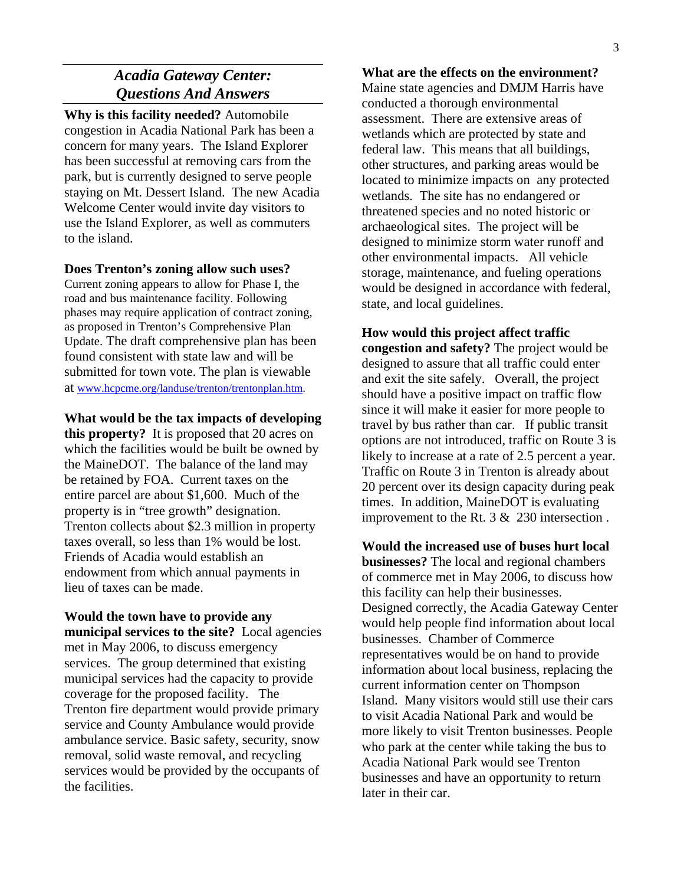## *Acadia Gateway Center: Questions And Answers*

**Why is this facility needed?** Automobile congestion in Acadia National Park has been a concern for many years. The Island Explorer has been successful at removing cars from the park, but is currently designed to serve people staying on Mt. Dessert Island. The new Acadia Welcome Center would invite day visitors to use the Island Explorer, as well as commuters to the island.

#### **Does Trenton's zoning allow such uses?**

Current zoning appears to allow for Phase I, the road and bus maintenance facility. Following phases may require application of contract zoning, as proposed in Trenton's Comprehensive Plan Update. The draft comprehensive plan has been found consistent with state law and will be submitted for town vote. The plan is viewable at [www.hcpcme.org/landuse/trenton/trentonplan.htm](http://www.hcpcme.org/landuse/trenton/trentonplan.htm).

#### **What would be the tax impacts of developing**

**this property?** It is proposed that 20 acres on which the facilities would be built be owned by the MaineDOT. The balance of the land may be retained by FOA. Current taxes on the entire parcel are about \$1,600. Much of the property is in "tree growth" designation. Trenton collects about \$2.3 million in property taxes overall, so less than 1% would be lost. Friends of Acadia would establish an endowment from which annual payments in lieu of taxes can be made.

**Would the town have to provide any municipal services to the site?** Local agencies met in May 2006, to discuss emergency services. The group determined that existing municipal services had the capacity to provide coverage for the proposed facility. The Trenton fire department would provide primary service and County Ambulance would provide ambulance service. Basic safety, security, snow removal, solid waste removal, and recycling services would be provided by the occupants of the facilities.

#### **What are the effects on the environment?**

Maine state agencies and DMJM Harris have conducted a thorough environmental assessment. There are extensive areas of wetlands which are protected by state and federal law. This means that all buildings, other structures, and parking areas would be located to minimize impacts on any protected wetlands. The site has no endangered or threatened species and no noted historic or archaeological sites. The project will be designed to minimize storm water runoff and other environmental impacts. All vehicle storage, maintenance, and fueling operations would be designed in accordance with federal, state, and local guidelines.

## **How would this project affect traffic congestion and safety?** The project would be designed to assure that all traffic could enter and exit the site safely. Overall, the project should have a positive impact on traffic flow since it will make it easier for more people to travel by bus rather than car. If public transit options are not introduced, traffic on Route 3 is likely to increase at a rate of 2.5 percent a year. Traffic on Route 3 in Trenton is already about 20 percent over its design capacity during peak times. In addition, MaineDOT is evaluating improvement to the Rt. 3 & 230 intersection .

**Would the increased use of buses hurt local businesses?** The local and regional chambers of commerce met in May 2006, to discuss how this facility can help their businesses. Designed correctly, the Acadia Gateway Center would help people find information about local businesses. Chamber of Commerce representatives would be on hand to provide information about local business, replacing the current information center on Thompson Island. Many visitors would still use their cars to visit Acadia National Park and would be more likely to visit Trenton businesses. People who park at the center while taking the bus to Acadia National Park would see Trenton businesses and have an opportunity to return later in their car.